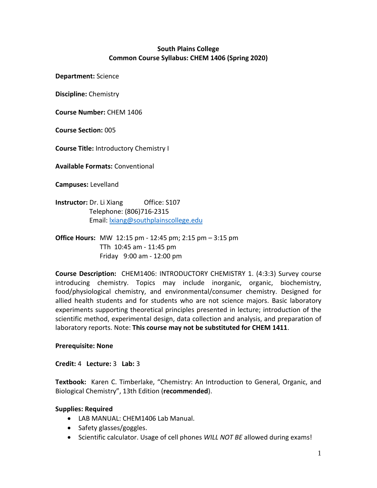# **South Plains College Common Course Syllabus: CHEM 1406 (Spring 2020)**

**Department:** Science

**Discipline:** Chemistry

**Course Number:** CHEM 1406

**Course Section:** 005

**Course Title:** Introductory Chemistry I

**Available Formats:** Conventional

**Campuses:** Levelland

**Instructor:** Dr. Li Xiang **Office: S107**  Telephone: (806)716-2315 Email[: lxiang@southplainscollege.edu](mailto:lxiang@southplainscollege.edu)

**Office Hours:** MW 12:15 pm - 12:45 pm; 2:15 pm – 3:15 pm TTh 10:45 am - 11:45 pm Friday 9:00 am - 12:00 pm

**Course Description:** CHEM1406: INTRODUCTORY CHEMISTRY 1. (4:3:3) Survey course introducing chemistry. Topics may include inorganic, organic, biochemistry, food/physiological chemistry, and environmental/consumer chemistry. Designed for allied health students and for students who are not science majors. Basic laboratory experiments supporting theoretical principles presented in lecture; introduction of the scientific method, experimental design, data collection and analysis, and preparation of laboratory reports. Note: **This course may not be substituted for CHEM 1411**.

### **Prerequisite: None**

**Credit:** 4 **Lecture:** 3 **Lab:** 3

**Textbook:** Karen C. Timberlake, "Chemistry: An Introduction to General, Organic, and Biological Chemistry", 13th Edition (**recommended**).

#### **Supplies: Required**

- LAB MANUAL: CHEM1406 Lab Manual.
- Safety glasses/goggles.
- Scientific calculator. Usage of cell phones *WILL NOT BE* allowed during exams!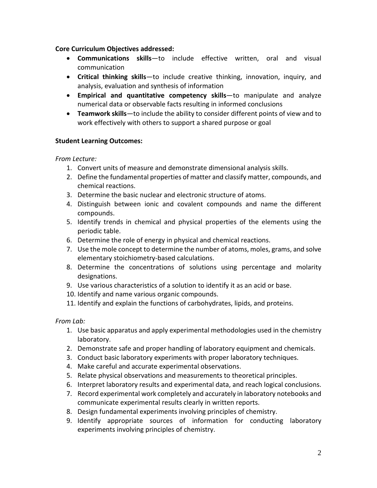### **Core Curriculum Objectives addressed:**

- **Communications skills**—to include effective written, oral and visual communication
- **Critical thinking skills**—to include creative thinking, innovation, inquiry, and analysis, evaluation and synthesis of information
- **Empirical and quantitative competency skills**—to manipulate and analyze numerical data or observable facts resulting in informed conclusions
- **Teamwork skills**—to include the ability to consider different points of view and to work effectively with others to support a shared purpose or goal

# **Student Learning Outcomes:**

### *From Lecture:*

- 1. Convert units of measure and demonstrate dimensional analysis skills.
- 2. Define the fundamental properties of matter and classify matter, compounds, and chemical reactions.
- 3. Determine the basic nuclear and electronic structure of atoms.
- 4. Distinguish between ionic and covalent compounds and name the different compounds.
- 5. Identify trends in chemical and physical properties of the elements using the periodic table.
- 6. Determine the role of energy in physical and chemical reactions.
- 7. Use the mole concept to determine the number of atoms, moles, grams, and solve elementary stoichiometry-based calculations.
- 8. Determine the concentrations of solutions using percentage and molarity designations.
- 9. Use various characteristics of a solution to identify it as an acid or base.
- 10. Identify and name various organic compounds.
- 11. Identify and explain the functions of carbohydrates, lipids, and proteins.

### *From Lab:*

- 1. Use basic apparatus and apply experimental methodologies used in the chemistry laboratory.
- 2. Demonstrate safe and proper handling of laboratory equipment and chemicals.
- 3. Conduct basic laboratory experiments with proper laboratory techniques.
- 4. Make careful and accurate experimental observations.
- 5. Relate physical observations and measurements to theoretical principles.
- 6. Interpret laboratory results and experimental data, and reach logical conclusions.
- 7. Record experimental work completely and accurately in laboratory notebooks and communicate experimental results clearly in written reports.
- 8. Design fundamental experiments involving principles of chemistry.
- 9. Identify appropriate sources of information for conducting laboratory experiments involving principles of chemistry.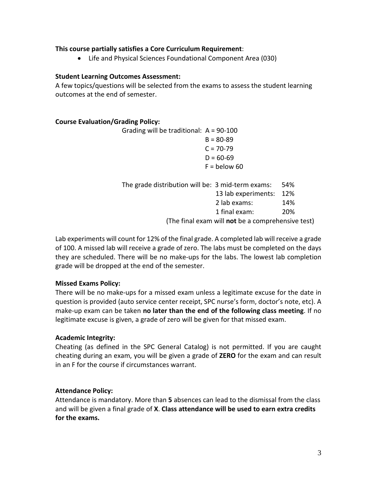### **This course partially satisfies a Core Curriculum Requirement**:

• Life and Physical Sciences Foundational Component Area (030)

### **Student Learning Outcomes Assessment:**

A few topics/questions will be selected from the exams to assess the student learning outcomes at the end of semester.

### **Course Evaluation/Grading Policy:**

Grading will be traditional: A = 90-100  $B = 80 - 89$  $C = 70-79$  $D = 60-69$  $F =$  below 60

| The grade distribution will be: 3 mid-term exams: |                                                   | .54% |
|---------------------------------------------------|---------------------------------------------------|------|
|                                                   | 13 lab experiments: 12%                           |      |
|                                                   | 2 lab exams:                                      | 14%  |
|                                                   | 1 final exam:                                     | 20%  |
|                                                   | (The final exam will not be a comprehensive test) |      |

Lab experiments will count for 12% of the final grade. A completed lab will receive a grade of 100. A missed lab will receive a grade of zero. The labs must be completed on the days they are scheduled. There will be no make-ups for the labs. The lowest lab completion grade will be dropped at the end of the semester.

# **Missed Exams Policy:**

There will be no make-ups for a missed exam unless a legitimate excuse for the date in question is provided (auto service center receipt, SPC nurse's form, doctor's note, etc). A make-up exam can be taken **no later than the end of the following class meeting**. If no legitimate excuse is given, a grade of zero will be given for that missed exam.

# **Academic Integrity:**

Cheating (as defined in the SPC General Catalog) is not permitted. If you are caught cheating during an exam, you will be given a grade of **ZERO** for the exam and can result in an F for the course if circumstances warrant.

# **Attendance Policy:**

Attendance is mandatory. More than **5** absences can lead to the dismissal from the class and will be given a final grade of **X**. **Class attendance will be used to earn extra credits for the exams.**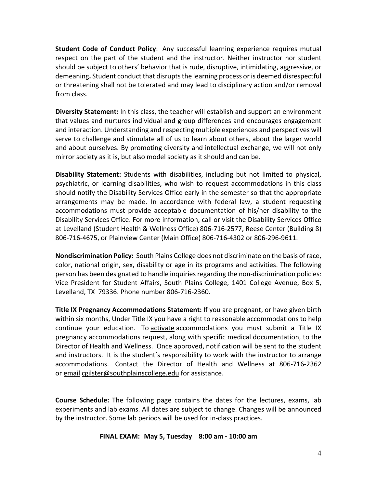**Student Code of Conduct Policy**: Any successful learning experience requires mutual respect on the part of the student and the instructor. Neither instructor nor student should be subject to others' behavior that is rude, disruptive, intimidating, aggressive, or demeaning**.** Student conduct that disrupts the learning process or is deemed disrespectful or threatening shall not be tolerated and may lead to disciplinary action and/or removal from class.

**Diversity Statement:** In this class, the teacher will establish and support an environment that values and nurtures individual and group differences and encourages engagement and interaction. Understanding and respecting multiple experiences and perspectives will serve to challenge and stimulate all of us to learn about others, about the larger world and about ourselves. By promoting diversity and intellectual exchange, we will not only mirror society as it is, but also model society as it should and can be.

**Disability Statement:** Students with disabilities, including but not limited to physical, psychiatric, or learning disabilities, who wish to request accommodations in this class should notify the Disability Services Office early in the semester so that the appropriate arrangements may be made. In accordance with federal law, a student requesting accommodations must provide acceptable documentation of his/her disability to the Disability Services Office. For more information, call or visit the Disability Services Office at Levelland (Student Health & Wellness Office) 806-716-2577, Reese Center (Building 8) 806-716-4675, or Plainview Center (Main Office) 806-716-4302 or 806-296-9611.

**Nondiscrimination Policy:** South Plains College does not discriminate on the basis of race, color, national origin, sex, disability or age in its programs and activities. The following person has been designated to handle inquiries regarding the non-discrimination policies: Vice President for Student Affairs, South Plains College, 1401 College Avenue, Box 5, Levelland, TX 79336. Phone number 806-716-2360.

**Title IX Pregnancy Accommodations Statement:** If you are pregnant, or have given birth within six months, Under Title IX you have a right to reasonable accommodations to help continue your education. To [activate](http://www.southplainscollege.edu/employees/manualshandbooks/facultyhandbook/sec4.php) accommodations you must submit a Title IX pregnancy accommodations request, along with specific medical documentation, to the Director of Health and Wellness. Once approved, notification will be sent to the student and instructors. It is the student's responsibility to work with the instructor to arrange accommodations. Contact the Director of Health and Wellness at 806-716-2362 or [email](http://www.southplainscollege.edu/employees/manualshandbooks/facultyhandbook/sec4.php) [cgilster@southplainscollege.edu](mailto:cgilster@southplainscollege.edu) for assistance.

**Course Schedule:** The following page contains the dates for the lectures, exams, lab experiments and lab exams. All dates are subject to change. Changes will be announced by the instructor. Some lab periods will be used for in-class practices.

#### **FINAL EXAM: May 5, Tuesday 8:00 am - 10:00 am**